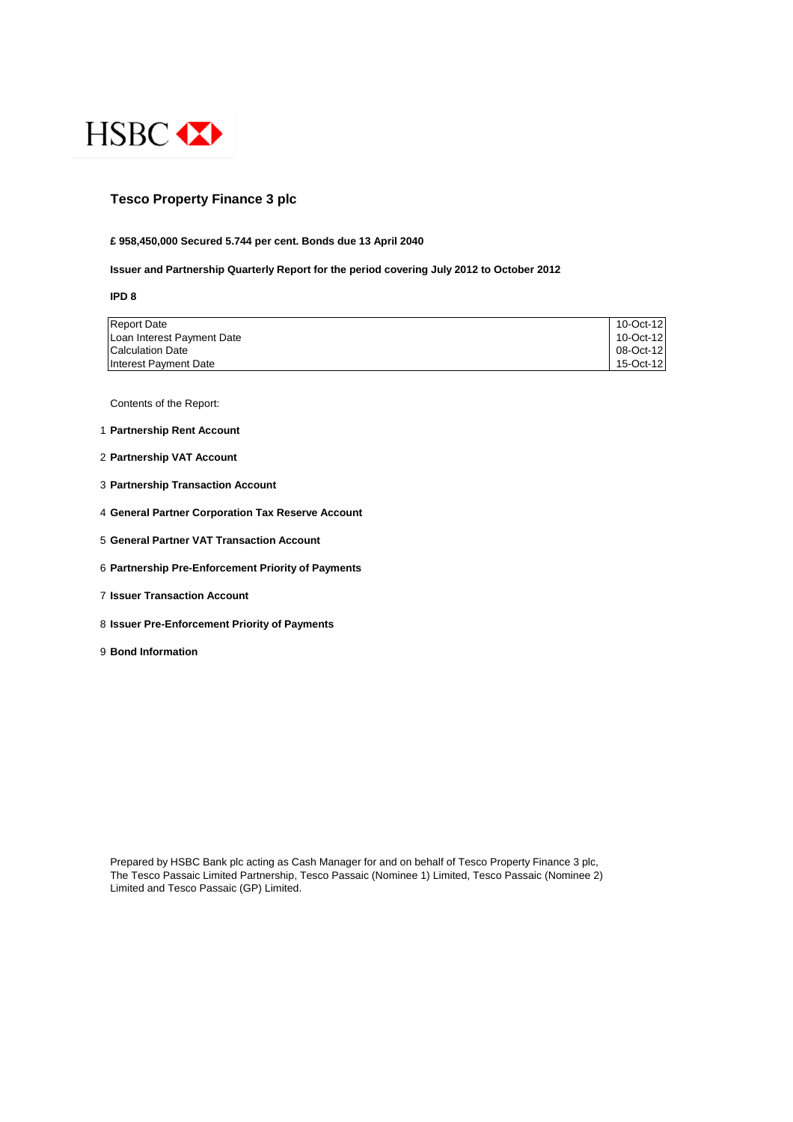

## **Tesco Property Finance 3 plc**

#### **£ 958,450,000 Secured 5.744 per cent. Bonds due 13 April 2040**

#### **Issuer and Partnership Quarterly Report for the period covering July 2012 to October 2012**

**IPD 8**

| <b>Report Date</b>         | 10-Oct-12 |
|----------------------------|-----------|
| Loan Interest Payment Date | 10-Oct-12 |
| <b>Calculation Date</b>    | 08-Oct-12 |
| Interest Payment Date      | 15-Oct-12 |

Contents of the Report:

- 1 **Partnership Rent Account**
- 2 **Partnership VAT Account**
- 3 **Partnership Transaction Account**
- 4 **General Partner Corporation Tax Reserve Account**
- 5 **General Partner VAT Transaction Account**
- 6 **Partnership Pre-Enforcement Priority of Payments**
- 7 **Issuer Transaction Account**
- 8 **Issuer Pre-Enforcement Priority of Payments**
- 9 **Bond Information**

Prepared by HSBC Bank plc acting as Cash Manager for and on behalf of Tesco Property Finance 3 plc, The Tesco Passaic Limited Partnership, Tesco Passaic (Nominee 1) Limited, Tesco Passaic (Nominee 2) Limited and Tesco Passaic (GP) Limited.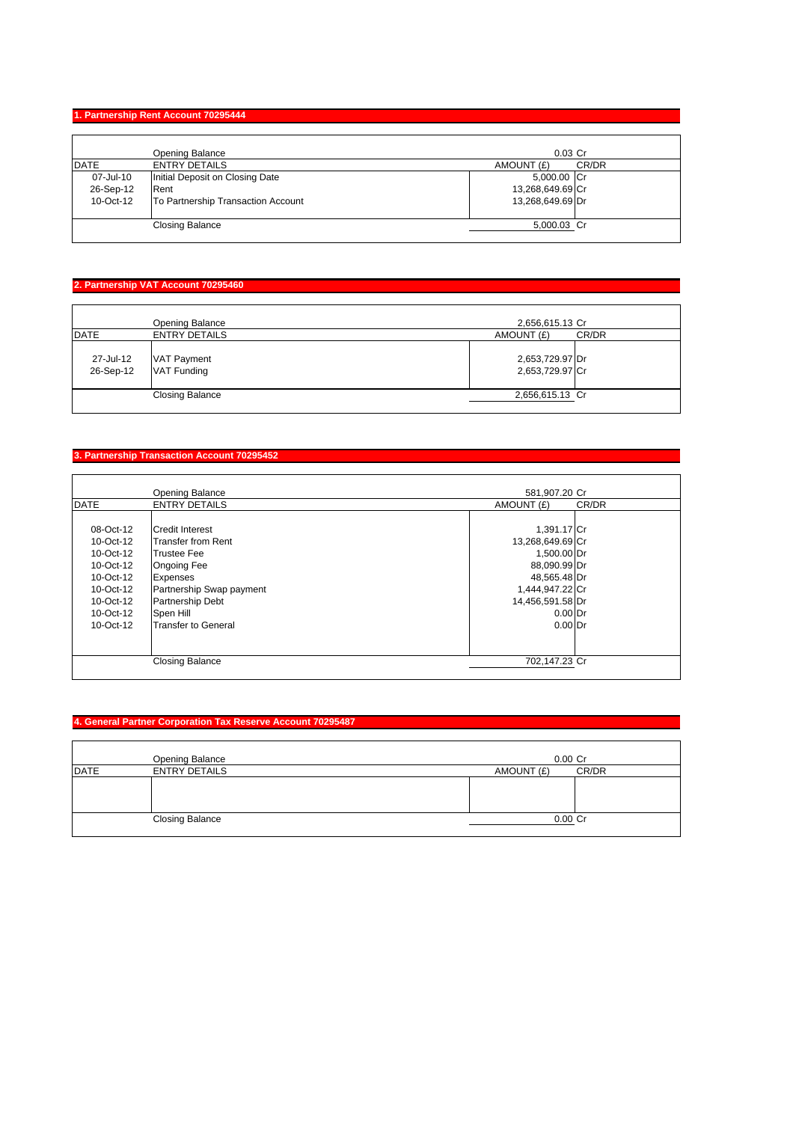#### **1. Partnership Rent Account 70295444**

|             | Opening Balance                    | $0.03$ Cr        |       |
|-------------|------------------------------------|------------------|-------|
| <b>DATE</b> | <b>ENTRY DETAILS</b>               | AMOUNT (£)       | CR/DR |
| 07-Jul-10   | Initial Deposit on Closing Date    | 5,000.00 Cr      |       |
| 26-Sep-12   | Rent                               | 13,268,649.69 Cr |       |
| 10-Oct-12   | To Partnership Transaction Account | 13,268,649.69 Dr |       |
|             | <b>Closing Balance</b>             | 5,000.03 Cr      |       |

## **2. Partnership VAT Account 70295460**

| <b>DATE</b>            | Opening Balance<br><b>ENTRY DETAILS</b>  | 2,656,615.13 Cr<br>AMOUNT (£)<br>CR/DR |  |
|------------------------|------------------------------------------|----------------------------------------|--|
| 27-Jul-12<br>26-Sep-12 | <b>VAT Payment</b><br><b>VAT Funding</b> | 2,653,729.97 Dr<br>2,653,729.97 Cr     |  |
|                        | <b>Closing Balance</b>                   | 2,656,615.13 Cr                        |  |

## **3. Partnership Transaction Account 70295452**

|             | Opening Balance            | 581,907.20 Cr    |       |
|-------------|----------------------------|------------------|-------|
| <b>DATE</b> | <b>ENTRY DETAILS</b>       | AMOUNT (£)       | CR/DR |
|             |                            |                  |       |
| 08-Oct-12   | <b>Credit Interest</b>     | 1,391.17 Cr      |       |
| 10-Oct-12   | <b>Transfer from Rent</b>  | 13,268,649.69 Cr |       |
| 10-Oct-12   | <b>Trustee Fee</b>         | 1,500.00 Dr      |       |
| 10-Oct-12   | <b>Ongoing Fee</b>         | 88,090.99 Dr     |       |
| 10-Oct-12   | <b>Expenses</b>            | 48,565.48 Dr     |       |
| 10-Oct-12   | Partnership Swap payment   | 1,444,947.22 Cr  |       |
| 10-Oct-12   | <b>Partnership Debt</b>    | 14,456,591.58 Dr |       |
| 10-Oct-12   | Spen Hill                  | $0.00$ Dr        |       |
| $10-Ort-12$ | <b>Transfer to General</b> | $0.00$ Dr        |       |
|             |                            |                  |       |
|             |                            |                  |       |
|             | <b>Closing Balance</b>     | 702,147.23 Cr    |       |
|             |                            |                  |       |

## **4. General Partner Corporation Tax Reserve Account 70295487**

|             | Opening Balance        | $0.00$ Cr  |       |
|-------------|------------------------|------------|-------|
| <b>DATE</b> | <b>ENTRY DETAILS</b>   | AMOUNT (£) | CR/DR |
|             |                        |            |       |
|             | <b>Closing Balance</b> | 0.00 Cr    |       |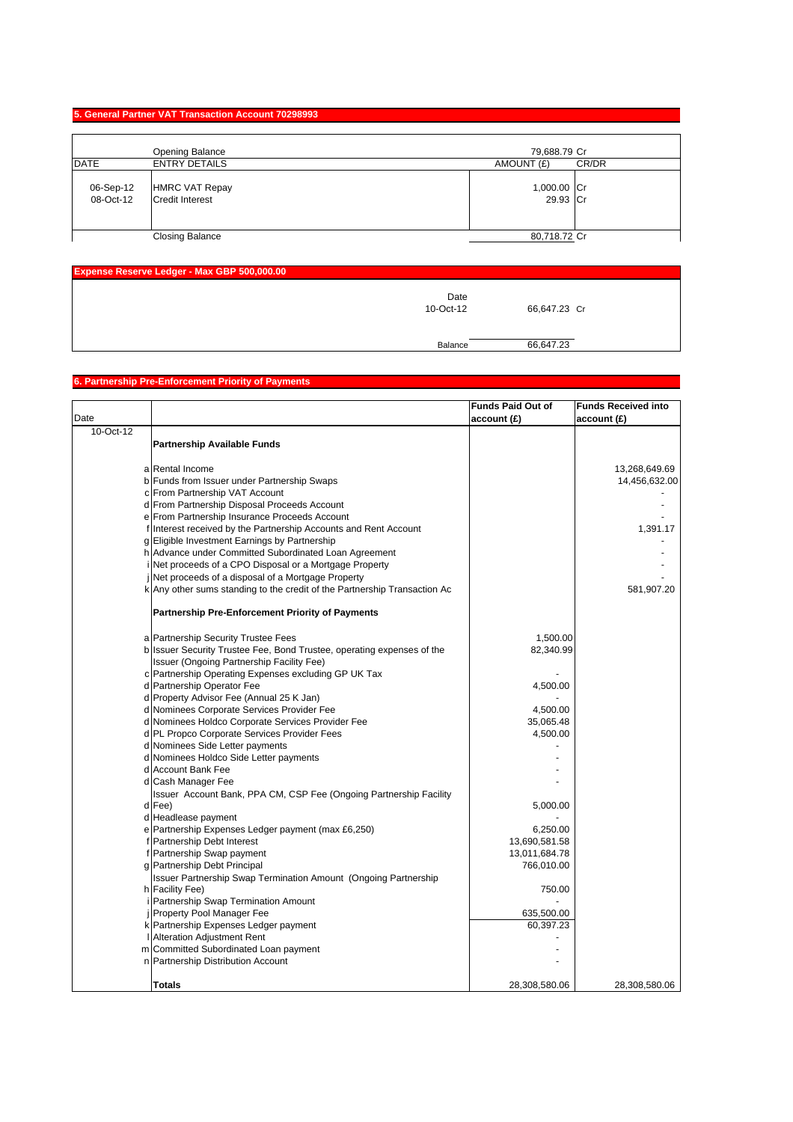#### **5. General Partner VAT Transaction Account 70298993**

|                        | Opening Balance                                 | 79,688.79 Cr            |
|------------------------|-------------------------------------------------|-------------------------|
| DATE                   | <b>ENTRY DETAILS</b>                            | CR/DR<br>AMOUNT (£)     |
| 06-Sep-12<br>08-Oct-12 | <b>HMRC VAT Repay</b><br><b>Credit Interest</b> | 1,000.00 Cr<br>29.93 Cr |
|                        | <b>Closing Balance</b>                          | 80,718.72 Cr            |

| <b>Expense Reserve Ledger - Max GBP 500,000.00</b> |                   |              |  |
|----------------------------------------------------|-------------------|--------------|--|
|                                                    | Date<br>10-Oct-12 | 66,647.23 Cr |  |
|                                                    | Balance           | 66,647.23    |  |

# **6. Partnership Pre-Enforcement Priority of Payments**

|           |                                                                           | <b>Funds Paid Out of</b> | <b>Funds Received into</b> |
|-----------|---------------------------------------------------------------------------|--------------------------|----------------------------|
| Date      |                                                                           | account(E)               | account(E)                 |
| 10-Oct-12 |                                                                           |                          |                            |
|           | <b>Partnership Available Funds</b>                                        |                          |                            |
|           |                                                                           |                          |                            |
|           | a Rental Income                                                           |                          | 13,268,649.69              |
|           | b Funds from Issuer under Partnership Swaps                               |                          | 14,456,632.00              |
|           | c From Partnership VAT Account                                            |                          |                            |
|           | d From Partnership Disposal Proceeds Account                              |                          |                            |
|           | e From Partnership Insurance Proceeds Account                             |                          |                            |
|           | f Interest received by the Partnership Accounts and Rent Account          |                          | 1,391.17                   |
|           | g Eligible Investment Earnings by Partnership                             |                          |                            |
|           | h Advance under Committed Subordinated Loan Agreement                     |                          |                            |
|           | i Net proceeds of a CPO Disposal or a Mortgage Property                   |                          |                            |
|           | Net proceeds of a disposal of a Mortgage Property                         |                          |                            |
|           | k Any other sums standing to the credit of the Partnership Transaction Ac |                          | 581,907.20                 |
|           |                                                                           |                          |                            |
|           | <b>Partnership Pre-Enforcement Priority of Payments</b>                   |                          |                            |
|           |                                                                           |                          |                            |
|           | a Partnership Security Trustee Fees                                       | 1,500.00                 |                            |
|           | b Issuer Security Trustee Fee, Bond Trustee, operating expenses of the    | 82,340.99                |                            |
|           | Issuer (Ongoing Partnership Facility Fee)                                 |                          |                            |
|           | c Partnership Operating Expenses excluding GP UK Tax                      |                          |                            |
|           | d Partnership Operator Fee                                                | 4,500.00                 |                            |
|           | d Property Advisor Fee (Annual 25 K Jan)                                  |                          |                            |
|           | d Nominees Corporate Services Provider Fee                                | 4,500.00                 |                            |
|           | d Nominees Holdco Corporate Services Provider Fee                         | 35,065.48                |                            |
|           | d PL Propco Corporate Services Provider Fees                              | 4,500.00                 |                            |
|           | d Nominees Side Letter payments                                           |                          |                            |
|           | d Nominees Holdco Side Letter payments                                    |                          |                            |
|           | d Account Bank Fee                                                        |                          |                            |
|           | d Cash Manager Fee                                                        |                          |                            |
|           | Issuer Account Bank, PPA CM, CSP Fee (Ongoing Partnership Facility        |                          |                            |
|           | d Fee)                                                                    | 5,000.00                 |                            |
|           | d Headlease payment                                                       |                          |                            |
|           | e Partnership Expenses Ledger payment (max £6,250)                        | 6,250.00                 |                            |
|           | f Partnership Debt Interest                                               | 13,690,581.58            |                            |
|           | f Partnership Swap payment                                                | 13,011,684.78            |                            |
|           | g Partnership Debt Principal                                              | 766,010.00               |                            |
|           | <b>Issuer Partnership Swap Termination Amount (Ongoing Partnership</b>    |                          |                            |
|           | h Facility Fee)                                                           | 750.00                   |                            |
|           | Partnership Swap Termination Amount                                       |                          |                            |
|           | Property Pool Manager Fee                                                 | 635,500.00               |                            |
|           | k Partnership Expenses Ledger payment                                     | 60,397.23                |                            |
|           | Alteration Adjustment Rent                                                |                          |                            |
|           | m Committed Subordinated Loan payment                                     |                          |                            |
|           | n Partnership Distribution Account                                        |                          |                            |
|           |                                                                           |                          |                            |
|           | Totals                                                                    | 28,308,580.06            | 28,308,580.06              |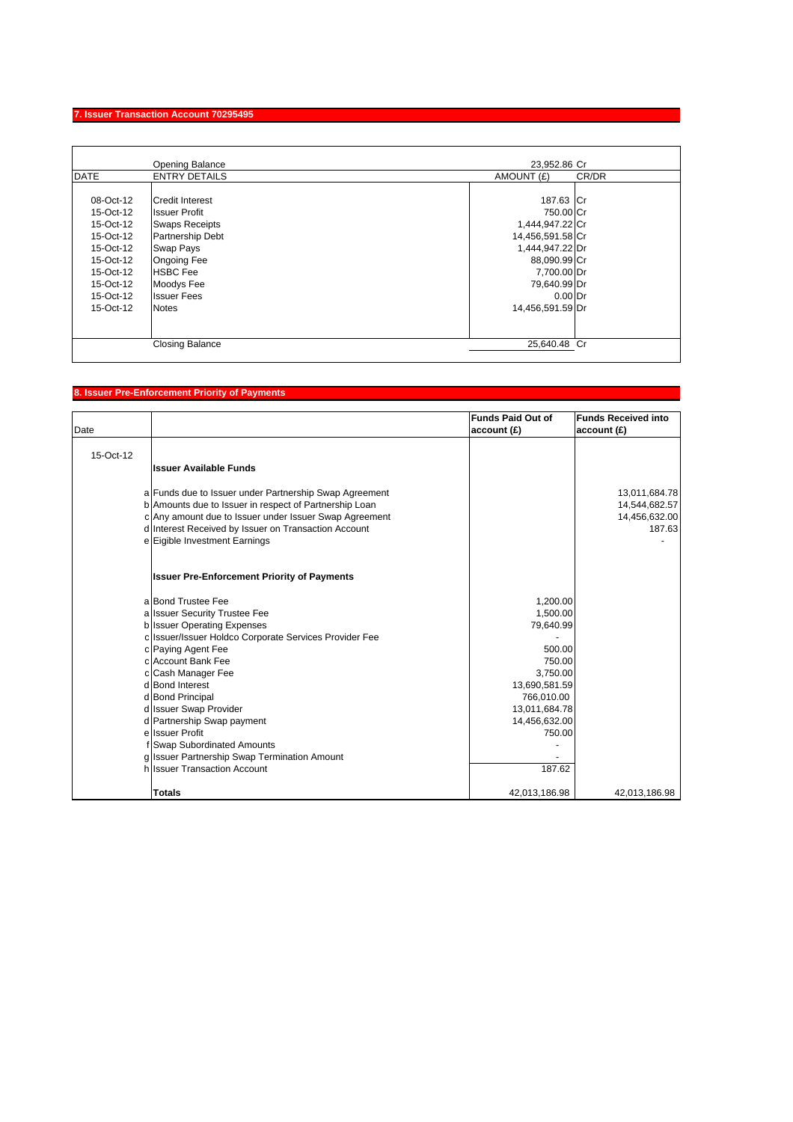## **7. Issuer Transaction Account 70295495**

| AMOUNT (£)<br>187.63 Cr<br>750.00 Cr | CR/DR |
|--------------------------------------|-------|
|                                      |       |
|                                      |       |
|                                      |       |
|                                      |       |
| 1,444,947.22 Cr                      |       |
| 14,456,591.58 Cr                     |       |
| 1,444,947.22 Dr                      |       |
| 88,090.99 Cr                         |       |
| 7,700.00 Dr                          |       |
| 79,640.99 Dr                         |       |
| $0.00$ Dr                            |       |
| 14,456,591.59 Dr                     |       |
|                                      |       |
| 25.640.48 Cr                         |       |
|                                      |       |

## **8. Issuer Pre-Enforcement Priority of Payments**

| Date      |                                                        | <b>Funds Paid Out of</b><br>account(E) | <b>Funds Received into</b><br>account(E) |
|-----------|--------------------------------------------------------|----------------------------------------|------------------------------------------|
| 15-Oct-12 |                                                        |                                        |                                          |
|           | <b>Issuer Available Funds</b>                          |                                        |                                          |
|           | a Funds due to Issuer under Partnership Swap Agreement |                                        | 13,011,684.78                            |
|           | b Amounts due to Issuer in respect of Partnership Loan |                                        | 14,544,682.57                            |
|           | c Any amount due to Issuer under Issuer Swap Agreement |                                        | 14,456,632.00                            |
|           | d Interest Received by Issuer on Transaction Account   |                                        | 187.63                                   |
|           | e Eigible Investment Earnings                          |                                        |                                          |
|           | <b>Issuer Pre-Enforcement Priority of Payments</b>     |                                        |                                          |
|           | a Bond Trustee Fee                                     | 1,200.00                               |                                          |
|           | a Issuer Security Trustee Fee                          | 1,500.00                               |                                          |
|           | <b>b</b> Issuer Operating Expenses                     | 79,640.99                              |                                          |
|           | c Issuer/Issuer Holdco Corporate Services Provider Fee |                                        |                                          |
|           | c Paying Agent Fee                                     | 500.00                                 |                                          |
|           | c Account Bank Fee                                     | 750.00                                 |                                          |
|           | c Cash Manager Fee                                     | 3,750.00                               |                                          |
|           | d Bond Interest                                        | 13,690,581.59                          |                                          |
|           | d Bond Principal                                       | 766,010.00                             |                                          |
|           | d Issuer Swap Provider                                 | 13,011,684.78                          |                                          |
|           | d Partnership Swap payment                             | 14,456,632.00                          |                                          |
|           | e Issuer Profit                                        | 750.00                                 |                                          |
|           | f Swap Subordinated Amounts                            |                                        |                                          |
|           | g Issuer Partnership Swap Termination Amount           |                                        |                                          |
|           | h Issuer Transaction Account                           | 187.62                                 |                                          |
|           | <b>Totals</b>                                          | 42,013,186.98                          | 42,013,186.98                            |